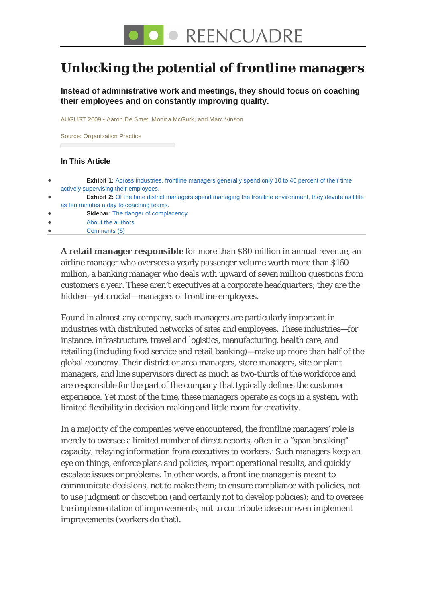### **Unlocking the potential of frontline managers**

**Instead of administrative work and meetings, they should focus on coaching their employees and on constantly improving quality.**

AUGUST 2009 • Aaron De Smet, Monica McGurk, and Marc Vinson

Source: [Organization Practice](http://www.mckinsey.com/clientservice/organizationleadership/)

#### **In This Article**

| $\bullet$ | <b>Exhibit 1:</b> Across industries, frontline managers generally spend only 10 to 40 percent of their time     |
|-----------|-----------------------------------------------------------------------------------------------------------------|
|           | actively supervising their employees.                                                                           |
| $\bullet$ | <b>Exhibit 2:</b> Of the time district managers spend managing the frontline environment, they devote as little |
|           | as ten minutes a day to coaching teams.                                                                         |
| $\bullet$ | <b>Sidebar:</b> The danger of complacency                                                                       |
| $\bullet$ | About the authors                                                                                               |
|           | Comments (5)                                                                                                    |
|           |                                                                                                                 |

**A retail manager responsible** for more than \$80 million in annual revenue, an airline manager who oversees a yearly passenger volume worth more than \$160 million, a banking manager who deals with upward of seven million questions from customers a year. These aren't executives at a corporate headquarters; they are the hidden—yet crucial—managers of frontline employees.

Found in almost any company, such managers are particularly important in industries with distributed networks of sites and employees. These industries—for instance, infrastructure, travel and logistics, manufacturing, health care, and retailing (including food service and retail banking)—make up more than half of the global economy. Their district or area managers, store managers, site or plant managers, and line supervisors direct as much as two-thirds of the workforce and are responsible for the part of the company that typically defines the customer experience. Yet most of the time, these managers operate as cogs in a system, with limited flexibility in decision making and little room for creativity.

In a majority of the companies we've encountered, the frontline managers' role is merely to oversee a limited number of direct reports, often in a "span breaking" capacity, relaying information from executives to workers[.1](http://www.mckinseyquarterly.com/Organization/Talent/Unlocking_the_potential_of_frontline_managers_2418?gp=1#footnote1) Such managers keep an eye on things, enforce plans and policies, report operational results, and quickly escalate issues or problems. In other words, a frontline manager is meant to communicate decisions, not to make them; to ensure compliance with policies, not to use judgment or discretion (and certainly not to develop policies); and to oversee the implementation of improvements, not to contribute ideas or even implement improvements (workers do that).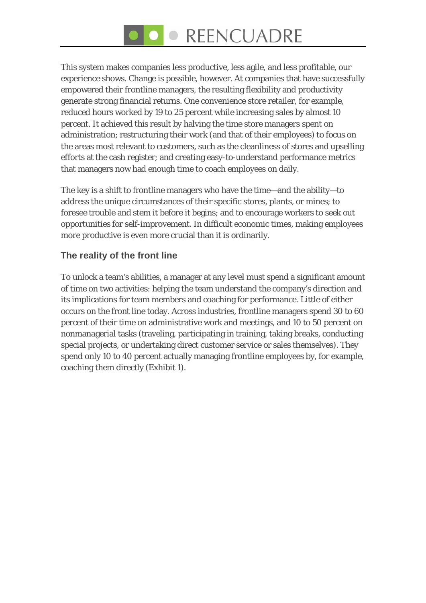# ● REENCUADRE

This system makes companies less productive, less agile, and less profitable, our experience shows. Change is possible, however. At companies that have successfully empowered their frontline managers, the resulting flexibility and productivity generate strong financial returns. One convenience store retailer, for example, reduced hours worked by 19 to 25 percent while increasing sales by almost 10 percent. It achieved this result by halving the time store managers spent on administration; restructuring their work (and that of their employees) to focus on the areas most relevant to customers, such as the cleanliness of stores and upselling efforts at the cash register; and creating easy-to-understand performance metrics that managers now had enough time to coach employees on daily.

The key is a shift to frontline managers who have the time—and the ability—to address the unique circumstances of their specific stores, plants, or mines; to foresee trouble and stem it before it begins; and to encourage workers to seek out opportunities for self-improvement. In difficult economic times, making employees more productive is even more crucial than it is ordinarily.

#### **The reality of the front line**

To unlock a team's abilities, a manager at any level must spend a significant amount of time on two activities: helping the team understand the company's direction and its implications for team members and coaching for performance. Little of either occurs on the front line today. Across industries, frontline managers spend 30 to 60 percent of their time on administrative work and meetings, and 10 to 50 percent on nonmanagerial tasks (traveling, participating in training, taking breaks, conducting special projects, or undertaking direct customer service or sales themselves). They spend only 10 to 40 percent actually managing frontline employees by, for example, coaching them directly (Exhibit 1).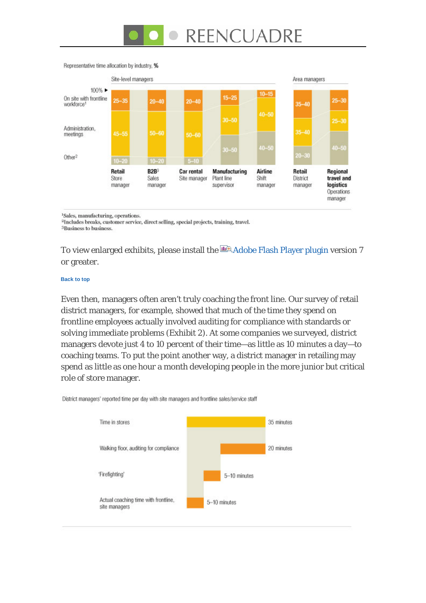# REENCUADRE



#### Representative time allocation by industry, %

<sup>1</sup>Sales, manufacturing, operations.

<sup>2</sup>Includes breaks, customer service, direct selling, special projects, training, travel. <sup>3</sup>Business to business.

To view enlarged exhibits, please install the  $\Box \Box A$  [Adobe Flash Player plugin](http://www.macromedia.com/go/getflashplayer) version 7 or greater.

#### **[Back to top](http://www.mckinseyquarterly.com/Organization/Talent/Unlocking_the_potential_of_frontline_managers_2418?gp=1#top)**

Even then, managers often aren't truly coaching the front line. Our survey of retail district managers, for example, showed that much of the time they spend on frontline employees actually involved auditing for compliance with standards or solving immediate problems (Exhibit 2). At some companies we surveyed, district managers devote just 4 to 10 percent of their time—as little as 10 minutes a day—to coaching teams. To put the point another way, a district manager in retailing may spend as little as one hour a month developing people in the more junior but critical role of store manager.



District managers' reported time per day with site managers and frontline sales/service staff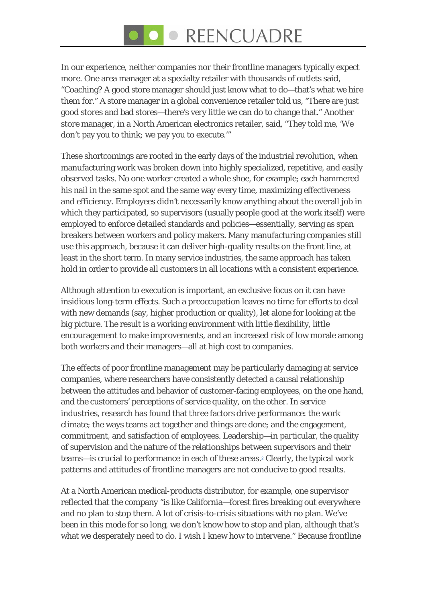# ● REENCUADRE

In our experience, neither companies nor their frontline managers typically expect more. One area manager at a specialty retailer with thousands of outlets said, "Coaching? A good store manager should just know what to do—that's what we hire them for." A store manager in a global convenience retailer told us, "There are just good stores and bad stores—there's very little we can do to change that." Another store manager, in a North American electronics retailer, said, "They told me, 'We don't pay you to think; we pay you to execute.'"

These shortcomings are rooted in the early days of the industrial revolution, when manufacturing work was broken down into highly specialized, repetitive, and easily observed tasks. No one worker created a whole shoe, for example; each hammered his nail in the same spot and the same way every time, maximizing effectiveness and efficiency. Employees didn't necessarily know anything about the overall job in which they participated, so supervisors (usually people good at the work itself) were employed to enforce detailed standards and policies—essentially, serving as span breakers between workers and policy makers. Many manufacturing companies still use this approach, because it can deliver high-quality results on the front line, at least in the short term. In many service industries, the same approach has taken hold in order to provide all customers in all locations with a consistent experience.

Although attention to execution is important, an exclusive focus on it can have insidious long-term effects. Such a preoccupation leaves no time for efforts to deal with new demands (say, higher production or quality), let alone for looking at the big picture. The result is a working environment with little flexibility, little encouragement to make improvements, and an increased risk of low morale among both workers and their managers—all at high cost to companies.

The effects of poor frontline management may be particularly damaging at service companies, where researchers have consistently detected a causal relationship between the attitudes and behavior of customer-facing employees, on the one hand, and the customers' perceptions of service quality, on the other. In service industries, research has found that three factors drive performance: the work climate; the ways teams act together and things are done; and the engagement, commitment, and satisfaction of employees. Leadership—in particular, the quality of supervision and the nature of the relationships between supervisors and their teams—is crucial to performance in each of these areas.<sup>2</sup> Clearly, the typical work patterns and attitudes of frontline managers are not conducive to good results.

At a North American medical-products distributor, for example, one supervisor reflected that the company "is like California—forest fires breaking out everywhere and no plan to stop them. A lot of crisis-to-crisis situations with no plan. We've been in this mode for so long, we don't know how to stop and plan, although that's what we desperately need to do. I wish I knew how to intervene." Because frontline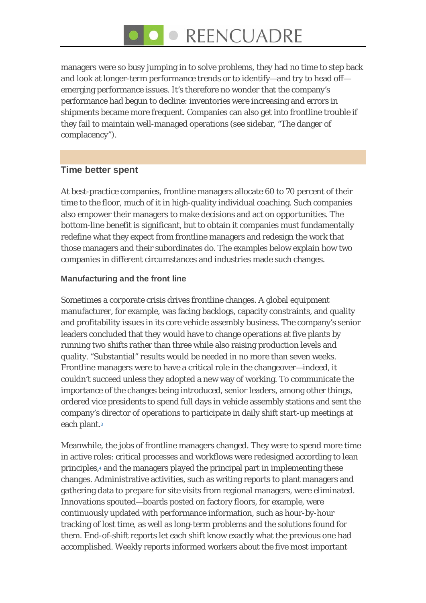# ● REENCUADRE

managers were so busy jumping in to solve problems, they had no time to step back and look at longer-term performance trends or to identify—and try to head off emerging performance issues. It's therefore no wonder that the company's performance had begun to decline: inventories were increasing and errors in shipments became more frequent. Companies can also get into frontline trouble if they fail to maintain well-managed operations (see sidebar, "The danger of complacency").

#### **Time better spent**

At best-practice companies, frontline managers allocate 60 to 70 percent of their time to the floor, much of it in high-quality individual coaching. Such companies also empower their managers to make decisions and act on opportunities. The bottom-line benefit is significant, but to obtain it companies must fundamentally redefine what they expect from frontline managers and redesign the work that those managers and their subordinates do. The examples below explain how two companies in different circumstances and industries made such changes.

#### **Manufacturing and the front line**

Sometimes a corporate crisis drives frontline changes. A global equipment manufacturer, for example, was facing backlogs, capacity constraints, and quality and profitability issues in its core vehicle assembly business. The company's senior leaders concluded that they would have to change operations at five plants by running two shifts rather than three while also raising production levels and quality. "Substantial" results would be needed in no more than seven weeks. Frontline managers were to have a critical role in the changeover—indeed, it couldn't succeed unless they adopted a new way of working. To communicate the importance of the changes being introduced, senior leaders, among other things, ordered vice presidents to spend full days in vehicle assembly stations and sent the company's director of operations to participate in daily shift start-up meetings at each plant.<sup>3</sup>

Meanwhile, the jobs of frontline managers changed. They were to spend more time in active roles: critical processes and workflows were redesigned according to lean principles[,4](http://www.mckinseyquarterly.com/Organization/Talent/Unlocking_the_potential_of_frontline_managers_2418?gp=1#footnote4) and the managers played the principal part in implementing these changes. Administrative activities, such as writing reports to plant managers and gathering data to prepare for site visits from regional managers, were eliminated. Innovations spouted—boards posted on factory floors, for example, were continuously updated with performance information, such as hour-by-hour tracking of lost time, as well as long-term problems and the solutions found for them. End-of-shift reports let each shift know exactly what the previous one had accomplished. Weekly reports informed workers about the five most important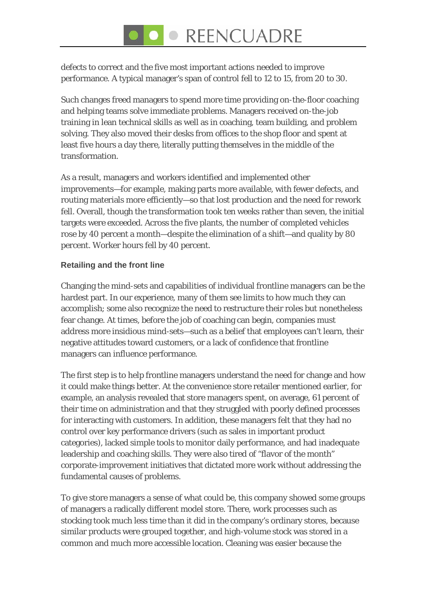# • REENCUADRE

defects to correct and the five most important actions needed to improve performance. A typical manager's span of control fell to 12 to 15, from 20 to 30.

Such changes freed managers to spend more time providing on-the-floor coaching and helping teams solve immediate problems. Managers received on-the-job training in lean technical skills as well as in coaching, team building, and problem solving. They also moved their desks from offices to the shop floor and spent at least five hours a day there, literally putting themselves in the middle of the transformation.

As a result, managers and workers identified and implemented other improvements—for example, making parts more available, with fewer defects, and routing materials more efficiently—so that lost production and the need for rework fell. Overall, though the transformation took ten weeks rather than seven, the initial targets were exceeded. Across the five plants, the number of completed vehicles rose by 40 percent a month—despite the elimination of a shift—and quality by 80 percent. Worker hours fell by 40 percent.

#### **Retailing and the front line**

Changing the mind-sets and capabilities of individual frontline managers can be the hardest part. In our experience, many of them see limits to how much they can accomplish; some also recognize the need to restructure their roles but nonetheless fear change. At times, before the job of coaching can begin, companies must address more insidious mind-sets—such as a belief that employees can't learn, their negative attitudes toward customers, or a lack of confidence that frontline managers can influence performance.

The first step is to help frontline managers understand the need for change and how it could make things better. At the convenience store retailer mentioned earlier, for example, an analysis revealed that store managers spent, on average, 61 percent of their time on administration and that they struggled with poorly defined processes for interacting with customers. In addition, these managers felt that they had no control over key performance drivers (such as sales in important product categories), lacked simple tools to monitor daily performance, and had inadequate leadership and coaching skills. They were also tired of "flavor of the month" corporate-improvement initiatives that dictated more work without addressing the fundamental causes of problems.

To give store managers a sense of what could be, this company showed some groups of managers a radically different model store. There, work processes such as stocking took much less time than it did in the company's ordinary stores, because similar products were grouped together, and high-volume stock was stored in a common and much more accessible location. Cleaning was easier because the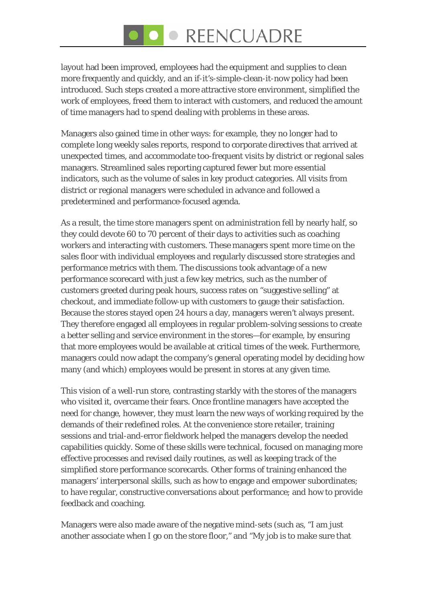# • REENCUADRE

layout had been improved, employees had the equipment and supplies to clean more frequently and quickly, and an if-it's-simple-clean-it-now policy had been introduced. Such steps created a more attractive store environment, simplified the work of employees, freed them to interact with customers, and reduced the amount of time managers had to spend dealing with problems in these areas.

Managers also gained time in other ways: for example, they no longer had to complete long weekly sales reports, respond to corporate directives that arrived at unexpected times, and accommodate too-frequent visits by district or regional sales managers. Streamlined sales reporting captured fewer but more essential indicators, such as the volume of sales in key product categories. All visits from district or regional managers were scheduled in advance and followed a predetermined and performance-focused agenda.

As a result, the time store managers spent on administration fell by nearly half, so they could devote 60 to 70 percent of their days to activities such as coaching workers and interacting with customers. These managers spent more time on the sales floor with individual employees and regularly discussed store strategies and performance metrics with them. The discussions took advantage of a new performance scorecard with just a few key metrics, such as the number of customers greeted during peak hours, success rates on "suggestive selling" at checkout, and immediate follow-up with customers to gauge their satisfaction. Because the stores stayed open 24 hours a day, managers weren't always present. They therefore engaged all employees in regular problem-solving sessions to create a better selling and service environment in the stores—for example, by ensuring that more employees would be available at critical times of the week. Furthermore, managers could now adapt the company's general operating model by deciding how many (and which) employees would be present in stores at any given time.

This vision of a well-run store, contrasting starkly with the stores of the managers who visited it, overcame their fears. Once frontline managers have accepted the need for change, however, they must learn the new ways of working required by the demands of their redefined roles. At the convenience store retailer, training sessions and trial-and-error fieldwork helped the managers develop the needed capabilities quickly. Some of these skills were technical, focused on managing more effective processes and revised daily routines, as well as keeping track of the simplified store performance scorecards. Other forms of training enhanced the managers' interpersonal skills, such as how to engage and empower subordinates; to have regular, constructive conversations about performance; and how to provide feedback and coaching.

Managers were also made aware of the negative mind-sets (such as, "I am just another associate when I go on the store floor," and "My job is to make sure that